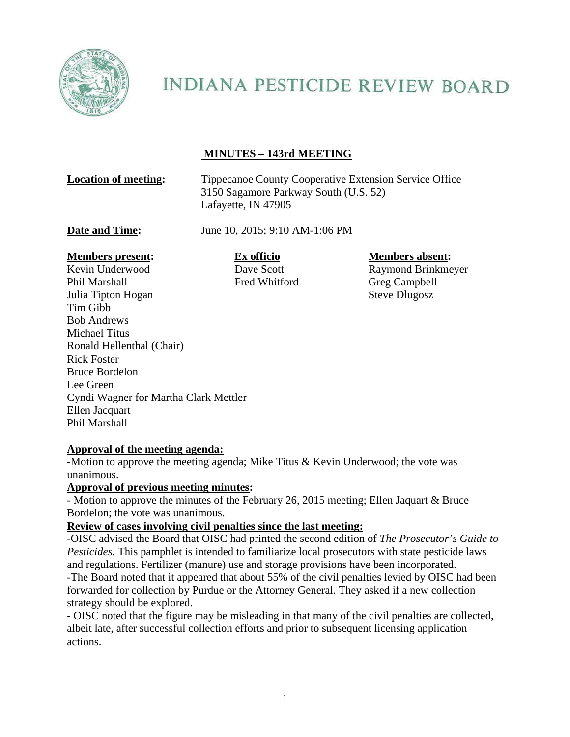

# **INDIANA PESTICIDE REVIEW BOARD**

## **MINUTES – 143rd MEETING**

**Location of meeting:** Tippecanoe County Cooperative Extension Service Office 3150 Sagamore Parkway South (U.S. 52) Lafayette, IN 47905

**Date and Time:** June 10, 2015; 9:10 AM-1:06 PM

#### **Members present: Ex officio Members absent: Members absent:**

Kevin Underwood Dave Scott Raymond Brinkmeyer Phil Marshall Fred Whitford Greg Campbell Julia Tipton Hogan Steve Dlugosz Tim Gibb Bob Andrews Michael Titus Ronald Hellenthal (Chair) Rick Foster Bruce Bordelon Lee Green Cyndi Wagner for Martha Clark Mettler Ellen Jacquart Phil Marshall

#### **Approval of the meeting agenda:**

-Motion to approve the meeting agenda; Mike Titus & Kevin Underwood; the vote was unanimous.

#### **Approval of previous meeting minutes:**

- Motion to approve the minutes of the February 26, 2015 meeting; Ellen Jaquart & Bruce Bordelon; the vote was unanimous.

#### **Review of cases involving civil penalties since the last meeting:**

-OISC advised the Board that OISC had printed the second edition of *The Prosecutor's Guide to Pesticides.* This pamphlet is intended to familiarize local prosecutors with state pesticide laws and regulations. Fertilizer (manure) use and storage provisions have been incorporated. -The Board noted that it appeared that about 55% of the civil penalties levied by OISC had been forwarded for collection by Purdue or the Attorney General. They asked if a new collection strategy should be explored.

- OISC noted that the figure may be misleading in that many of the civil penalties are collected, albeit late, after successful collection efforts and prior to subsequent licensing application actions.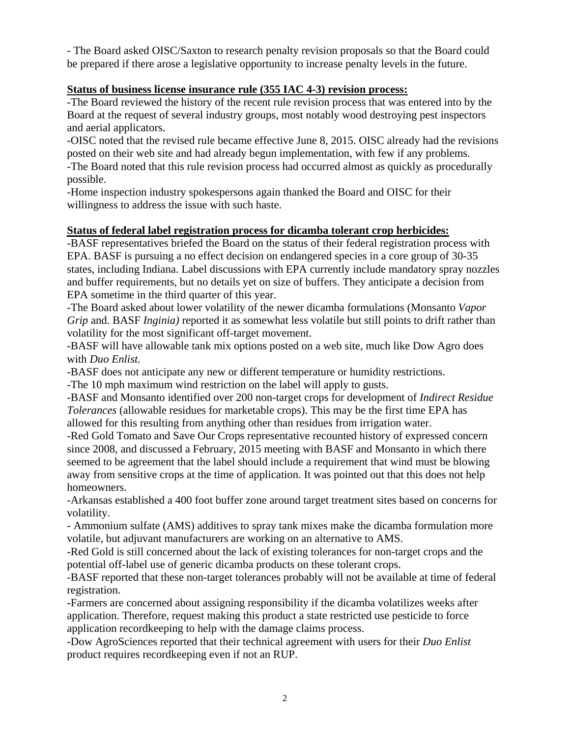- The Board asked OISC/Saxton to research penalty revision proposals so that the Board could be prepared if there arose a legislative opportunity to increase penalty levels in the future.

### **Status of business license insurance rule (355 IAC 4-3) revision process:**

-The Board reviewed the history of the recent rule revision process that was entered into by the Board at the request of several industry groups, most notably wood destroying pest inspectors and aerial applicators.

-OISC noted that the revised rule became effective June 8, 2015. OISC already had the revisions posted on their web site and had already begun implementation, with few if any problems. -The Board noted that this rule revision process had occurred almost as quickly as procedurally possible.

-Home inspection industry spokespersons again thanked the Board and OISC for their willingness to address the issue with such haste.

### **Status of federal label registration process for dicamba tolerant crop herbicides:**

-BASF representatives briefed the Board on the status of their federal registration process with EPA. BASF is pursuing a no effect decision on endangered species in a core group of 30-35 states, including Indiana. Label discussions with EPA currently include mandatory spray nozzles and buffer requirements, but no details yet on size of buffers. They anticipate a decision from EPA sometime in the third quarter of this year.

-The Board asked about lower volatility of the newer dicamba formulations (Monsanto *Vapor Grip* and. BASF *Inginia)* reported it as somewhat less volatile but still points to drift rather than volatility for the most significant off-target movement.

-BASF will have allowable tank mix options posted on a web site, much like Dow Agro does with *Duo Enlist.* 

-BASF does not anticipate any new or different temperature or humidity restrictions.

-The 10 mph maximum wind restriction on the label will apply to gusts.

-BASF and Monsanto identified over 200 non-target crops for development of *Indirect Residue Tolerances* (allowable residues for marketable crops). This may be the first time EPA has allowed for this resulting from anything other than residues from irrigation water.

-Red Gold Tomato and Save Our Crops representative recounted history of expressed concern since 2008, and discussed a February, 2015 meeting with BASF and Monsanto in which there seemed to be agreement that the label should include a requirement that wind must be blowing away from sensitive crops at the time of application. It was pointed out that this does not help homeowners.

-Arkansas established a 400 foot buffer zone around target treatment sites based on concerns for volatility.

- Ammonium sulfate (AMS) additives to spray tank mixes make the dicamba formulation more volatile, but adjuvant manufacturers are working on an alternative to AMS.

-Red Gold is still concerned about the lack of existing tolerances for non-target crops and the potential off-label use of generic dicamba products on these tolerant crops.

-BASF reported that these non-target tolerances probably will not be available at time of federal registration.

-Farmers are concerned about assigning responsibility if the dicamba volatilizes weeks after application. Therefore, request making this product a state restricted use pesticide to force application recordkeeping to help with the damage claims process.

-Dow AgroSciences reported that their technical agreement with users for their *Duo Enlist* product requires recordkeeping even if not an RUP.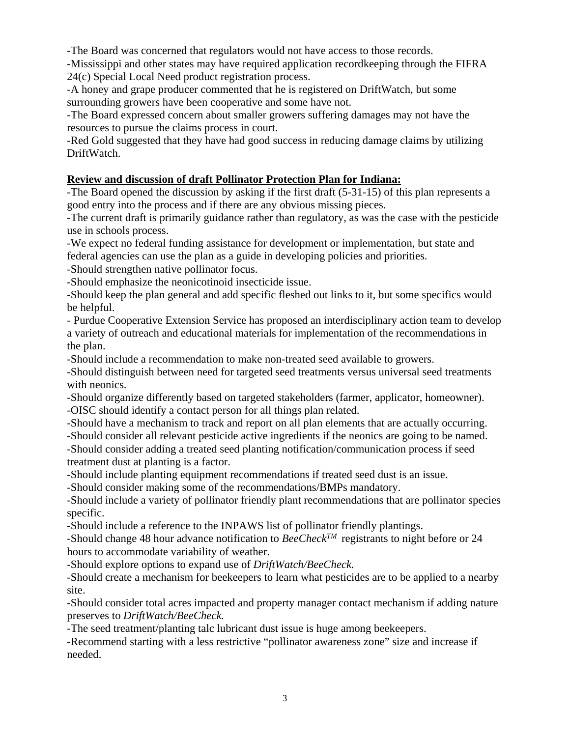-The Board was concerned that regulators would not have access to those records.

-Mississippi and other states may have required application recordkeeping through the FIFRA 24(c) Special Local Need product registration process.

-A honey and grape producer commented that he is registered on DriftWatch, but some surrounding growers have been cooperative and some have not.

-The Board expressed concern about smaller growers suffering damages may not have the resources to pursue the claims process in court.

-Red Gold suggested that they have had good success in reducing damage claims by utilizing DriftWatch.

### **Review and discussion of draft Pollinator Protection Plan for Indiana:**

-The Board opened the discussion by asking if the first draft (5-31-15) of this plan represents a good entry into the process and if there are any obvious missing pieces.

-The current draft is primarily guidance rather than regulatory, as was the case with the pesticide use in schools process.

-We expect no federal funding assistance for development or implementation, but state and federal agencies can use the plan as a guide in developing policies and priorities.

-Should strengthen native pollinator focus.

-Should emphasize the neonicotinoid insecticide issue.

-Should keep the plan general and add specific fleshed out links to it, but some specifics would be helpful.

- Purdue Cooperative Extension Service has proposed an interdisciplinary action team to develop a variety of outreach and educational materials for implementation of the recommendations in the plan.

-Should include a recommendation to make non-treated seed available to growers.

-Should distinguish between need for targeted seed treatments versus universal seed treatments with neonics.

-Should organize differently based on targeted stakeholders (farmer, applicator, homeowner). -OISC should identify a contact person for all things plan related.

-Should have a mechanism to track and report on all plan elements that are actually occurring.

-Should consider all relevant pesticide active ingredients if the neonics are going to be named. -Should consider adding a treated seed planting notification/communication process if seed treatment dust at planting is a factor.

-Should include planting equipment recommendations if treated seed dust is an issue.

-Should consider making some of the recommendations/BMPs mandatory.

-Should include a variety of pollinator friendly plant recommendations that are pollinator species specific.

-Should include a reference to the INPAWS list of pollinator friendly plantings.

-Should change 48 hour advance notification to *BeeCheckTM* registrants to night before or 24 hours to accommodate variability of weather.

-Should explore options to expand use of *DriftWatch/BeeCheck.* 

-Should create a mechanism for beekeepers to learn what pesticides are to be applied to a nearby site.

-Should consider total acres impacted and property manager contact mechanism if adding nature preserves to *DriftWatch/BeeCheck.* 

-The seed treatment/planting talc lubricant dust issue is huge among beekeepers.

-Recommend starting with a less restrictive "pollinator awareness zone" size and increase if needed.